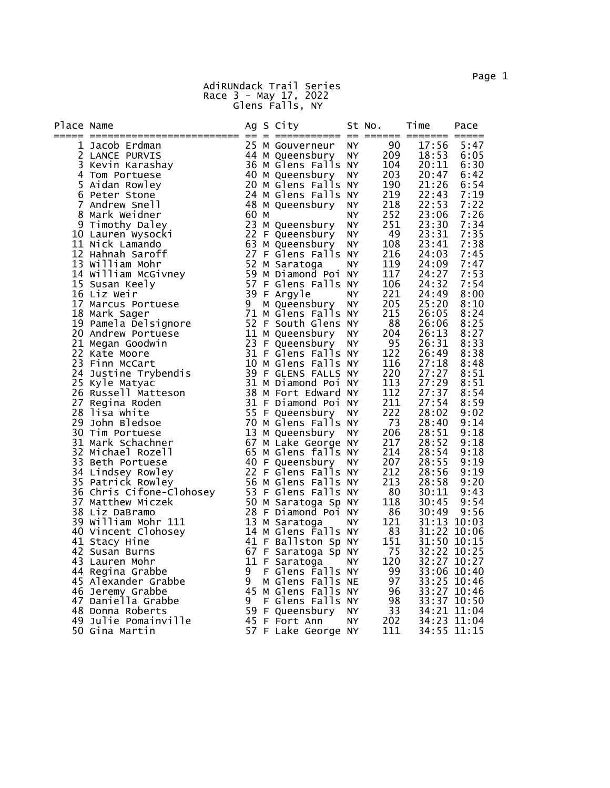AdiRUNdack Trail Series Race 3 - May 17, 2022 Glens Falls, NY

| Place Name | $\frac{1}{2} = \frac{1}{2}$ LANCE Pierre and S City $\frac{1}{2}$ LANCE Pierre and the Motel Short (1980) $\frac{1}{2}$ LANCE Pierre and Tom Motel (1980) $\frac{1}{2}$ LANCE Pierre and the Motel of Motel (1980) $\frac{1}{2}$ LANCE Pierre and Tom M |  | Ag S City | St No. | Time | Pace |
|------------|---------------------------------------------------------------------------------------------------------------------------------------------------------------------------------------------------------------------------------------------------------|--|-----------|--------|------|------|
|            |                                                                                                                                                                                                                                                         |  |           |        |      |      |
|            |                                                                                                                                                                                                                                                         |  |           |        |      |      |
|            |                                                                                                                                                                                                                                                         |  |           |        |      |      |
|            |                                                                                                                                                                                                                                                         |  |           |        |      |      |
|            |                                                                                                                                                                                                                                                         |  |           |        |      |      |
|            |                                                                                                                                                                                                                                                         |  |           |        |      |      |
|            |                                                                                                                                                                                                                                                         |  |           |        |      |      |
|            |                                                                                                                                                                                                                                                         |  |           |        |      |      |
|            |                                                                                                                                                                                                                                                         |  |           |        |      |      |
|            |                                                                                                                                                                                                                                                         |  |           |        |      |      |
|            |                                                                                                                                                                                                                                                         |  |           |        |      |      |
|            |                                                                                                                                                                                                                                                         |  |           |        |      |      |
|            |                                                                                                                                                                                                                                                         |  |           |        |      |      |
|            |                                                                                                                                                                                                                                                         |  |           |        |      |      |
|            |                                                                                                                                                                                                                                                         |  |           |        |      |      |
|            |                                                                                                                                                                                                                                                         |  |           |        |      |      |
|            |                                                                                                                                                                                                                                                         |  |           |        |      |      |
|            |                                                                                                                                                                                                                                                         |  |           |        |      |      |
|            |                                                                                                                                                                                                                                                         |  |           |        |      |      |
|            |                                                                                                                                                                                                                                                         |  |           |        |      |      |
|            |                                                                                                                                                                                                                                                         |  |           |        |      |      |
|            |                                                                                                                                                                                                                                                         |  |           |        |      |      |
|            |                                                                                                                                                                                                                                                         |  |           |        |      |      |
|            |                                                                                                                                                                                                                                                         |  |           |        |      |      |
|            |                                                                                                                                                                                                                                                         |  |           |        |      |      |
|            |                                                                                                                                                                                                                                                         |  |           |        |      |      |
|            |                                                                                                                                                                                                                                                         |  |           |        |      |      |
|            |                                                                                                                                                                                                                                                         |  |           |        |      |      |
|            |                                                                                                                                                                                                                                                         |  |           |        |      |      |
|            |                                                                                                                                                                                                                                                         |  |           |        |      |      |
|            |                                                                                                                                                                                                                                                         |  |           |        |      |      |
|            |                                                                                                                                                                                                                                                         |  |           |        |      |      |
|            |                                                                                                                                                                                                                                                         |  |           |        |      |      |
|            |                                                                                                                                                                                                                                                         |  |           |        |      |      |
|            |                                                                                                                                                                                                                                                         |  |           |        |      |      |
|            |                                                                                                                                                                                                                                                         |  |           |        |      |      |
|            |                                                                                                                                                                                                                                                         |  |           |        |      |      |
|            |                                                                                                                                                                                                                                                         |  |           |        |      |      |
|            |                                                                                                                                                                                                                                                         |  |           |        |      |      |
|            |                                                                                                                                                                                                                                                         |  |           |        |      |      |
|            |                                                                                                                                                                                                                                                         |  |           |        |      |      |
|            |                                                                                                                                                                                                                                                         |  |           |        |      |      |
|            |                                                                                                                                                                                                                                                         |  |           |        |      |      |
|            |                                                                                                                                                                                                                                                         |  |           |        |      |      |
|            |                                                                                                                                                                                                                                                         |  |           |        |      |      |
|            |                                                                                                                                                                                                                                                         |  |           |        |      |      |
|            |                                                                                                                                                                                                                                                         |  |           |        |      |      |
|            |                                                                                                                                                                                                                                                         |  |           |        |      |      |

results and the contract of the contract of the contract of the contract of the contract of the contract of the contract of the contract of the contract of the contract of the contract of the contract of the contract of th